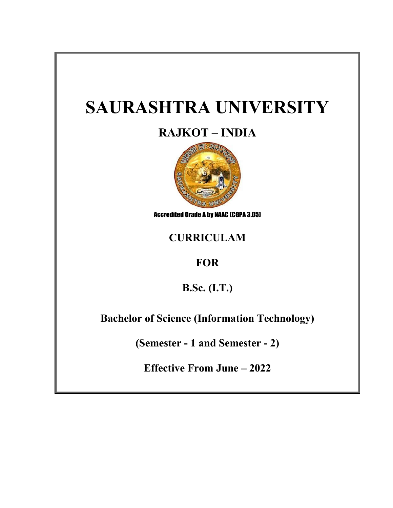# **SAURASHTRA UNIVERSITY**

# **RAJKOT – INDIA**



Accredited Grade A by NAAC (CGPA 3.05)

# **CURRICULAM**

# **FOR**

**B.Sc. (I.T.)**

**Bachelor of Science (Information Technology)**

**(Semester - 1 and Semester - 2)**

**Effective From June – 2022**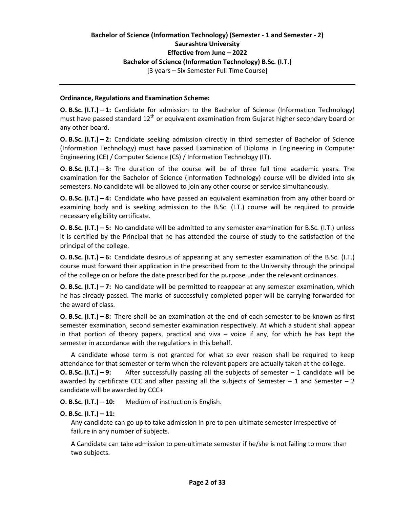#### **Bachelor of Science (Information Technology) (Semester - 1 and Semester - 2) Saurashtra University Effective from June – 2022 Bachelor of Science (Information Technology) B.Sc. (I.T.)** [3 years – Six Semester Full Time Course]

#### **Ordinance, Regulations and Examination Scheme:**

**O. B.Sc. (I.T.) – 1:** Candidate for admission to the Bachelor of Science (Information Technology) must have passed standard  $12<sup>th</sup>$  or equivalent examination from Gujarat higher secondary board or any other board.

**O. B.Sc. (I.T.) – 2:** Candidate seeking admission directly in third semester of Bachelor of Science (Information Technology) must have passed Examination of Diploma in Engineering in Computer Engineering (CE) / Computer Science (CS) / Information Technology (IT).

**O. B.Sc. (I.T.) – 3:** The duration of the course will be of three full time academic years. The examination for the Bachelor of Science (Information Technology) course will be divided into six semesters. No candidate will be allowed to join any other course or service simultaneously.

**O. B.Sc. (I.T.) – 4:** Candidate who have passed an equivalent examination from any other board or examining body and is seeking admission to the B.Sc. (I.T.) course will be required to provide necessary eligibility certificate.

**O. B.Sc. (I.T.) – 5:** No candidate will be admitted to any semester examination for B.Sc. (I.T.) unless it is certified by the Principal that he has attended the course of study to the satisfaction of the principal of the college.

**O. B.Sc. (I.T.) – 6:** Candidate desirous of appearing at any semester examination of the B.Sc. (I.T.) course must forward their application in the prescribed from to the University through the principal of the college on or before the date prescribed for the purpose under the relevant ordinances.

**O. B.Sc. (I.T.) – 7:** No candidate will be permitted to reappear at any semester examination, which he has already passed. The marks of successfully completed paper will be carrying forwarded for the award of class.

**O. B.Sc. (I.T.) – 8:** There shall be an examination at the end of each semester to be known as first semester examination, second semester examination respectively. At which a student shall appear in that portion of theory papers, practical and viva – voice if any, for which he has kept the semester in accordance with the regulations in this behalf.

A candidate whose term is not granted for what so ever reason shall be required to keep attendance for that semester or term when the relevant papers are actually taken at the college. **O. B.Sc. (I.T.) – 9:** After successfully passing all the subjects of semester – 1 candidate will be awarded by certificate CCC and after passing all the subjects of Semester  $-1$  and Semester  $-2$ candidate will be awarded by CCC+

**O. B.Sc. (I.T.) – 10:** Medium of instruction is English.

#### **O. B.Sc. (I.T.) – 11:**

Any candidate can go up to take admission in pre to pen-ultimate semester irrespective of failure in any number of subjects.

A Candidate can take admission to pen-ultimate semester if he/she is not failing to more than two subjects.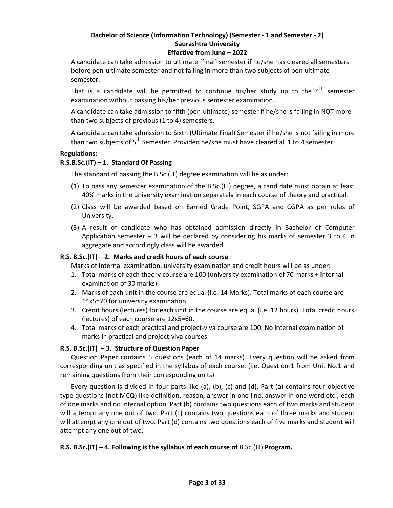#### **Effective from June – 2022**

A candidate can take admission to ultimate {final} semester if he/she has cleared all semesters before pen-ultimate semester and not failing in more than two subjects of pen-ultimate semester.

That is a candidate will be permitted to continue his/her study up to the  $4<sup>th</sup>$  semester examination without passing his/her previous semester examination.

A candidate can take admission to fifth (pen-ultimate) semester if he/she is failing in NOT more than two subjects of previous (1 to 4) semesters.

A candidate can take admission to Sixth (Ultimate Final) Semester if he/she is not failing in more than two subjects of  $5<sup>th</sup>$  Semester. Provided he/she must have cleared all 1 to 4 semester.

#### **Regulations:**

#### **R.S.B.Sc.(IT) – 1. Standard Of Passing**

The standard of passing the B.Sc.(IT) degree examination will be as under:

- (1) To pass any semester examination of the B.Sc.(IT) degree, a candidate must obtain at least 40% marks in the university examination separately in each course of theory and practical.
- (2) Class will be awarded based on Earned Grade Point, SGPA and CGPA as per rules of University.
- (3) A result of candidate who has obtained admission directly in Bachelor of Computer Application semester  $-$  3 will be declared by considering his marks of semester 3 to 6 in aggregate and accordingly class will be awarded.

#### **R.S. B.Sc.(IT) – 2. Marks and credit hours of each course**

Marks of Internal examination, university examination and credit hours will be as under:

- 1. Total marks of each theory course are 100 (university examination of 70 marks + internal examination of 30 marks).
- 2. Marks of each unit in the course are equal (i.e. 14 Marks). Total marks of each course are 14x5=70 for university examination.
- 3. Credit hours (lectures) for each unit in the course are equal (i.e. 12 hours). Total credit hours (lectures) of each course are 12x5=60.
- 4. Total marks of each practical and project-viva course are 100. No internal examination of marks in practical and project-viva courses.

#### **R.S. B.Sc.(IT) – 3. Structure of Question Paper**

Question Paper contains 5 questions (each of 14 marks). Every question will be asked from corresponding unit as specified in the syllabus of each course. (i.e. Question-1 from Unit No.1 and remaining questions from their corresponding units)

Every question is divided in four parts like (a), (b), (c) and (d). Part (a) contains four objective type questions (not MCQ) like definition, reason, answer in one line, answer in one word etc., each of one marks and no internal option. Part (b) contains two questions each of two marks and student will attempt any one out of two. Part (c) contains two questions each of three marks and student will attempt any one out of two. Part (d) contains two questions each of five marks and student will attempt any one out of two.

#### **R.S. B.Sc.(IT) – 4. Following is the syllabus of each course of** B.Sc.(IT) **Program.**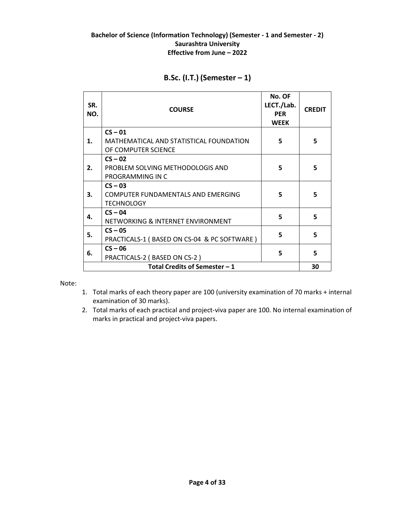| SR.<br>NO.                    | <b>COURSE</b>                                                  | No. OF<br>LECT./Lab.<br><b>PER</b><br><b>WEEK</b> | <b>CREDIT</b> |  |
|-------------------------------|----------------------------------------------------------------|---------------------------------------------------|---------------|--|
|                               | $CS - 01$                                                      |                                                   |               |  |
| 1.                            | MATHEMATICAL AND STATISTICAL FOUNDATION<br>OF COMPUTER SCIENCE | 5                                                 | 5             |  |
|                               | $CS - 02$                                                      |                                                   |               |  |
| 2.                            | PROBLEM SOLVING METHODOLOGIS AND                               | 5                                                 | 5             |  |
|                               | PROGRAMMING IN C                                               |                                                   |               |  |
|                               | $CS - 03$                                                      |                                                   |               |  |
| 3.                            | COMPUTER FUNDAMENTALS AND EMERGING                             | 5                                                 | 5             |  |
|                               | <b>TECHNOLOGY</b>                                              |                                                   |               |  |
| 4.                            | $CS - 04$                                                      | 5                                                 | 5             |  |
|                               | NETWORKING & INTERNET ENVIRONMENT                              |                                                   |               |  |
| 5.                            | $CS - 05$                                                      | 5                                                 | 5             |  |
|                               | PRACTICALS-1 (BASED ON CS-04 & PC SOFTWARE)                    |                                                   |               |  |
| 6.                            | $CS - 06$                                                      | 5                                                 | 5             |  |
|                               | PRACTICALS-2 (BASED ON CS-2)                                   |                                                   |               |  |
| Total Credits of Semester - 1 |                                                                |                                                   |               |  |

## **B.Sc. (I.T.) (Semester – 1)**

#### Note:

- 1. Total marks of each theory paper are 100 (university examination of 70 marks + internal examination of 30 marks).
- 2. Total marks of each practical and project-viva paper are 100. No internal examination of marks in practical and project-viva papers.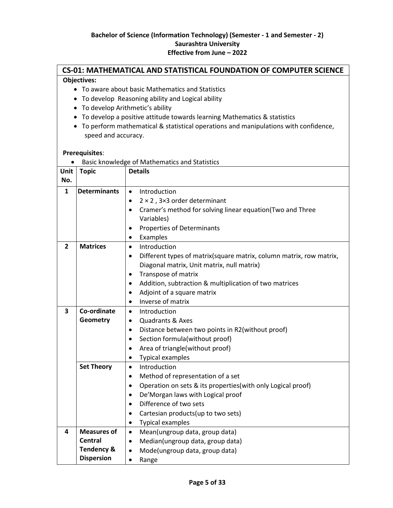# **CS-01: MATHEMATICAL AND STATISTICAL FOUNDATION OF COMPUTER SCIENCE**

#### **Objectives:**

- To aware about basic Mathematics and Statistics
- To develop Reasoning ability and Logical ability
- To develop Arithmetic's ability
- To develop a positive attitude towards learning Mathematics & statistics
- To perform mathematical & statistical operations and manipulations with confidence, speed and accuracy.

#### **Prerequisites**:

Basic knowledge of Mathematics and Statistics

| Unit                           | <b>Topic</b>                                                                       | <b>Details</b>                                                                                                                                                                                                                                                                                                                               |  |
|--------------------------------|------------------------------------------------------------------------------------|----------------------------------------------------------------------------------------------------------------------------------------------------------------------------------------------------------------------------------------------------------------------------------------------------------------------------------------------|--|
| No.                            |                                                                                    |                                                                                                                                                                                                                                                                                                                                              |  |
| $\mathbf{1}$<br>$\overline{2}$ | <b>Determinants</b><br><b>Matrices</b>                                             | Introduction<br>$\bullet$<br>$2 \times 2$ , 3×3 order determinant<br>$\bullet$<br>Cramer's method for solving linear equation(Two and Three<br>$\bullet$<br>Variables)<br>Properties of Determinants<br>$\bullet$<br>Examples<br>$\bullet$<br>Introduction<br>$\bullet$                                                                      |  |
|                                |                                                                                    | Different types of matrix(square matrix, column matrix, row matrix,<br>$\bullet$<br>Diagonal matrix, Unit matrix, null matrix)<br>Transpose of matrix<br>$\bullet$<br>Addition, subtraction & multiplication of two matrices<br>$\bullet$<br>Adjoint of a square matrix<br>$\bullet$<br>Inverse of matrix<br>$\bullet$                       |  |
| $\overline{\mathbf{3}}$        | Co-ordinate<br>Geometry                                                            | Introduction<br>$\bullet$<br><b>Quadrants &amp; Axes</b><br>$\bullet$<br>Distance between two points in R2(without proof)<br>$\bullet$<br>Section formula (without proof)<br>$\bullet$<br>Area of triangle(without proof)<br>$\bullet$<br><b>Typical examples</b><br>$\bullet$                                                               |  |
|                                | <b>Set Theory</b>                                                                  | Introduction<br>$\bullet$<br>Method of representation of a set<br>$\bullet$<br>Operation on sets & its properties(with only Logical proof)<br>$\bullet$<br>De'Morgan laws with Logical proof<br>$\bullet$<br>Difference of two sets<br>$\bullet$<br>Cartesian products (up to two sets)<br>$\bullet$<br><b>Typical examples</b><br>$\bullet$ |  |
| 4                              | <b>Measures of</b><br><b>Central</b><br><b>Tendency &amp;</b><br><b>Dispersion</b> | Mean(ungroup data, group data)<br>$\bullet$<br>Median(ungroup data, group data)<br>$\bullet$<br>Mode(ungroup data, group data)<br>$\bullet$<br>Range<br>$\bullet$                                                                                                                                                                            |  |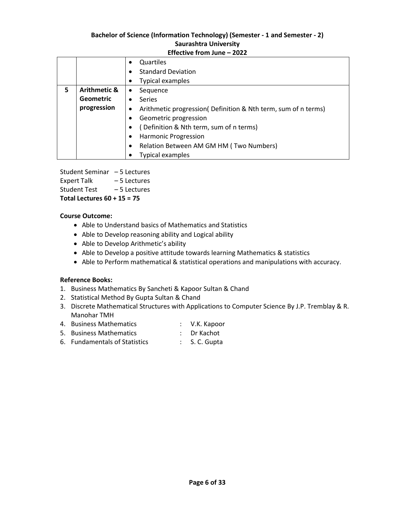#### **Effective from June – 2022**

|   |                         | Quartiles                                                      |
|---|-------------------------|----------------------------------------------------------------|
|   |                         | <b>Standard Deviation</b>                                      |
|   |                         | Typical examples                                               |
| 5 | <b>Arithmetic &amp;</b> | Sequence<br>$\bullet$                                          |
|   | <b>Geometric</b>        | <b>Series</b>                                                  |
|   | progression             | Arithmetic progression( Definition & Nth term, sum of n terms) |
|   |                         | Geometric progression                                          |
|   |                         | (Definition & Nth term, sum of n terms)                        |
|   |                         | <b>Harmonic Progression</b>                                    |
|   |                         | Relation Between AM GM HM (Two Numbers)                        |
|   |                         | Typical examples                                               |

Student Seminar – 5 Lectures

Expert Talk – 5 Lectures

Student Test – 5 Lectures

**Total Lectures 60 + 15 = 75**

#### **Course Outcome:**

- Able to Understand basics of Mathematics and Statistics
- Able to Develop reasoning ability and Logical ability
- Able to Develop Arithmetic's ability
- Able to Develop a positive attitude towards learning Mathematics & statistics
- Able to Perform mathematical & statistical operations and manipulations with accuracy.

#### **Reference Books:**

- 1. Business Mathematics By Sancheti & Kapoor Sultan & Chand
- 2. Statistical Method By Gupta Sultan & Chand
- 3. Discrete Mathematical Structures with Applications to Computer Science By J.P. Tremblay & R. Manohar TMH
- 4. Business Mathematics : V.K. Kapoor
- 5. Business Mathematics : Dr Kachot
- 6. Fundamentals of Statistics : S. C. Gupta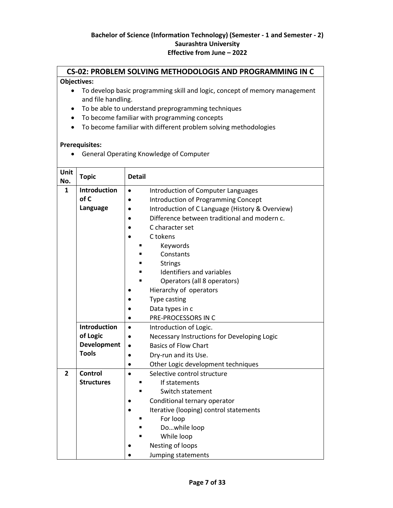#### **CS-02: PROBLEM SOLVING METHODOLOGIS AND PROGRAMMING IN C**

#### **Objectives:**

- To develop basic programming skill and logic, concept of memory management and file handling.
- To be able to understand preprogramming techniques
- To become familiar with programming concepts
- To become familiar with different problem solving methodologies

#### **Prerequisites:**

General Operating Knowledge of Computer

| Unit<br>No.    | <b>Topic</b>        | <b>Detail</b>                                                |
|----------------|---------------------|--------------------------------------------------------------|
| $\mathbf{1}$   | <b>Introduction</b> | Introduction of Computer Languages<br>$\bullet$              |
|                | of C                | <b>Introduction of Programming Concept</b>                   |
|                | Language            | Introduction of C Language (History & Overview)<br>$\bullet$ |
|                |                     | Difference between traditional and modern c.                 |
|                |                     | C character set                                              |
|                |                     | C tokens                                                     |
|                |                     | Keywords                                                     |
|                |                     | Constants                                                    |
|                |                     | <b>Strings</b>                                               |
|                |                     | Identifiers and variables                                    |
|                |                     | Operators (all 8 operators)                                  |
|                |                     | Hierarchy of operators                                       |
|                |                     | Type casting                                                 |
|                |                     | Data types in c                                              |
|                |                     | PRE-PROCESSORS IN C                                          |
|                | Introduction        | Introduction of Logic.<br>$\bullet$                          |
|                | of Logic            | Necessary Instructions for Developing Logic<br>$\bullet$     |
|                | <b>Development</b>  | <b>Basics of Flow Chart</b><br>$\bullet$                     |
|                | <b>Tools</b>        | Dry-run and its Use.<br>$\bullet$                            |
|                |                     | Other Logic development techniques<br>$\bullet$              |
| $\overline{2}$ | Control             | Selective control structure<br>$\bullet$                     |
|                | <b>Structures</b>   | If statements                                                |
|                |                     | Switch statement                                             |
|                |                     | Conditional ternary operator                                 |
|                |                     | Iterative (looping) control statements                       |
|                |                     | For loop                                                     |
|                |                     | Dowhile loop                                                 |
|                |                     | While loop                                                   |
|                |                     | Nesting of loops                                             |
|                |                     | Jumping statements                                           |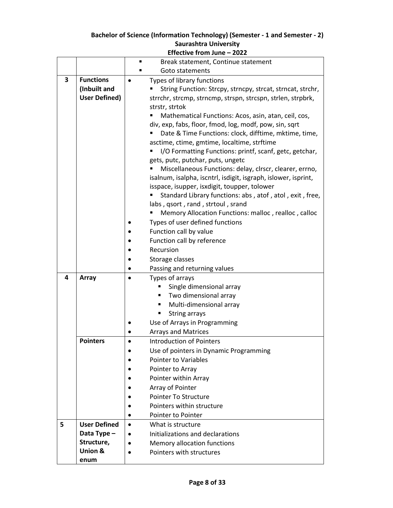|   |                      |           | Effective from June - 2022                                     |
|---|----------------------|-----------|----------------------------------------------------------------|
|   |                      | ■         | Break statement, Continue statement                            |
|   |                      |           | Goto statements                                                |
| 3 | <b>Functions</b>     | $\bullet$ | Types of library functions                                     |
|   | (Inbuilt and         |           | String Function: Strcpy, strncpy, strcat, strncat, strchr,     |
|   | <b>User Defined)</b> |           | strrchr, strcmp, strncmp, strspn, strcspn, strlen, strpbrk,    |
|   |                      |           | strstr, strtok                                                 |
|   |                      |           | Mathematical Functions: Acos, asin, atan, ceil, cos,           |
|   |                      |           | div, exp, fabs, floor, fmod, log, modf, pow, sin, sqrt         |
|   |                      |           | Date & Time Functions: clock, difftime, mktime, time,          |
|   |                      |           | asctime, ctime, gmtime, localtime, strftime                    |
|   |                      |           | I/O Formatting Functions: printf, scanf, getc, getchar,        |
|   |                      |           | gets, putc, putchar, puts, ungetc                              |
|   |                      |           | Miscellaneous Functions: delay, clrscr, clearer, errno,        |
|   |                      |           | isalnum, isalpha, iscntrl, isdigit, isgraph, islower, isprint, |
|   |                      |           | isspace, isupper, isxdigit, toupper, tolower                   |
|   |                      |           | Standard Library functions: abs, atof, atol, exit, free,       |
|   |                      |           | labs, qsort, rand, strtoul, srand                              |
|   |                      |           | Memory Allocation Functions: malloc, realloc, calloc           |
|   |                      |           | Types of user defined functions                                |
|   |                      |           | Function call by value                                         |
|   |                      |           | Function call by reference                                     |
|   |                      |           | Recursion                                                      |
|   |                      |           | Storage classes                                                |
|   |                      |           | Passing and returning values                                   |
| 4 | Array                | $\bullet$ | Types of arrays                                                |
|   |                      |           | Single dimensional array<br>٠                                  |
|   |                      |           | Two dimensional array<br>Multi-dimensional array<br>٠          |
|   |                      |           | String arrays<br>٠                                             |
|   |                      |           | Use of Arrays in Programming                                   |
|   |                      |           | <b>Arrays and Matrices</b>                                     |
|   | <b>Pointers</b>      |           | <b>Introduction of Pointers</b>                                |
|   |                      |           | Use of pointers in Dynamic Programming                         |
|   |                      |           | <b>Pointer to Variables</b>                                    |
|   |                      |           | Pointer to Array                                               |
|   |                      |           | Pointer within Array                                           |
|   |                      |           | Array of Pointer                                               |
|   |                      |           | Pointer To Structure                                           |
|   |                      |           | Pointers within structure                                      |
|   |                      | $\bullet$ | Pointer to Pointer                                             |
| 5 | <b>User Defined</b>  | $\bullet$ | What is structure                                              |
|   | Data Type -          | $\bullet$ | Initializations and declarations                               |
|   | Structure,           |           | Memory allocation functions                                    |
|   | <b>Union &amp;</b>   |           | Pointers with structures                                       |
|   | enum                 |           |                                                                |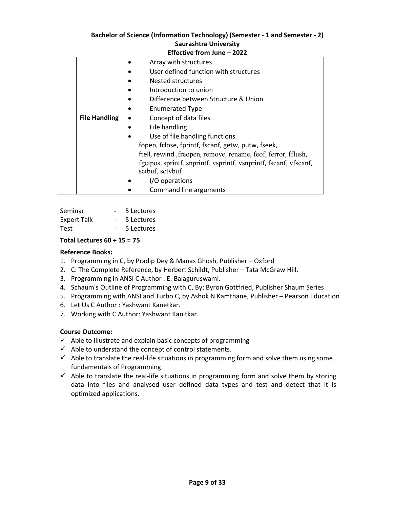|                      | <u> Eliecuve Irom June – Zuzz</u>                                 |
|----------------------|-------------------------------------------------------------------|
|                      | Array with structures                                             |
|                      | User defined function with structures                             |
|                      | Nested structures                                                 |
|                      | Introduction to union                                             |
|                      | Difference between Structure & Union                              |
|                      | <b>Enumerated Type</b>                                            |
| <b>File Handling</b> | Concept of data files                                             |
|                      | File handling                                                     |
|                      | Use of file handling functions                                    |
|                      | fopen, fclose, fprintf, fscanf, getw, putw, fseek,                |
|                      | ftell, rewind , freopen, remove, rename, feof, ferror, fflush,    |
|                      | fgetpos, sprintf, snprintf, vsprintf, vsnprintf, fscanf, vfscanf, |
|                      | setbuf, setvbuf                                                   |
|                      | I/O operations                                                    |
|                      | Command line arguments                                            |

| Seminar            | 5 Lectures |
|--------------------|------------|
| <b>Expert Talk</b> | 5 Lectures |
| <b>Test</b>        | 5 Lectures |

#### **Total Lectures 60 + 15 = 75**

#### **Reference Books:**

- 1. Programming in C, by Pradip Dey & Manas Ghosh, Publisher Oxford
- 2. C: The Complete Reference, by Herbert Schildt, Publisher Tata McGraw Hill.
- 3. Programming in ANSI C Author : E. Balaguruswami.
- 4. Schaum's Outline of Programming with C, By: Byron Gottfried, Publisher Shaum Series
- 5. Programming with ANSI and Turbo C, by Ashok N Kamthane, Publisher Pearson Education
- 6. Let Us C Author : Yashwant Kanetkar.
- 7. Working with C Author: Yashwant Kanitkar.

#### **Course Outcome:**

- $\checkmark$  Able to illustrate and explain basic concepts of programming
- $\checkmark$  Able to understand the concept of control statements.
- $\checkmark$  Able to translate the real-life situations in programming form and solve them using some fundamentals of Programming.
- $\checkmark$  Able to translate the real-life situations in programming form and solve them by storing data into files and analysed user defined data types and test and detect that it is optimized applications.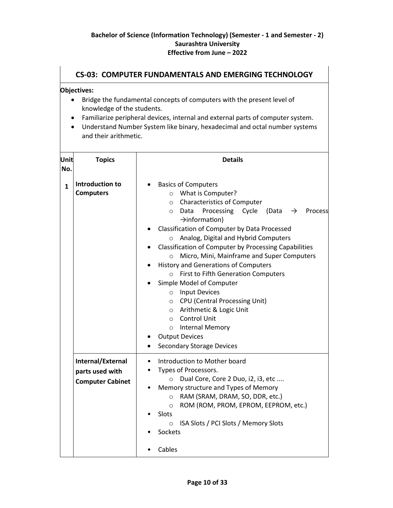ヿ

 $\sqrt{ }$ 

|              | <b>CS-03: COMPUTER FUNDAMENTALS AND EMERGING TECHNOLOGY</b>                                                                                                                                                                                                                                                   |                                                                                                                                                                                                                                                                                                                                                                                                                                                                                                                                                                                                                                                                                                                                       |  |  |  |
|--------------|---------------------------------------------------------------------------------------------------------------------------------------------------------------------------------------------------------------------------------------------------------------------------------------------------------------|---------------------------------------------------------------------------------------------------------------------------------------------------------------------------------------------------------------------------------------------------------------------------------------------------------------------------------------------------------------------------------------------------------------------------------------------------------------------------------------------------------------------------------------------------------------------------------------------------------------------------------------------------------------------------------------------------------------------------------------|--|--|--|
|              | Objectives:<br>Bridge the fundamental concepts of computers with the present level of<br>knowledge of the students.<br>Familiarize peripheral devices, internal and external parts of computer system.<br>Understand Number System like binary, hexadecimal and octal number systems<br>and their arithmetic. |                                                                                                                                                                                                                                                                                                                                                                                                                                                                                                                                                                                                                                                                                                                                       |  |  |  |
| Unit<br>No.  | <b>Topics</b>                                                                                                                                                                                                                                                                                                 | <b>Details</b>                                                                                                                                                                                                                                                                                                                                                                                                                                                                                                                                                                                                                                                                                                                        |  |  |  |
| $\mathbf{1}$ | Introduction to<br><b>Computers</b>                                                                                                                                                                                                                                                                           | <b>Basics of Computers</b><br>$\bullet$<br>o What is Computer?<br>o Characteristics of Computer<br>Processing Cycle<br>(Data<br>○ Data<br>Process<br>$\rightarrow$<br>$\rightarrow$ information)<br>Classification of Computer by Data Processed<br>Analog, Digital and Hybrid Computers<br>$\circ$<br>Classification of Computer by Processing Capabilities<br>٠<br>Micro, Mini, Mainframe and Super Computers<br>$\circ$<br><b>History and Generations of Computers</b><br>o First to Fifth Generation Computers<br>Simple Model of Computer<br>o Input Devices<br>O CPU (Central Processing Unit)<br>o Arithmetic & Logic Unit<br>o Control Unit<br>o Internal Memory<br><b>Output Devices</b><br><b>Secondary Storage Devices</b> |  |  |  |
|              | Internal/External<br>parts used with<br><b>Computer Cabinet</b>                                                                                                                                                                                                                                               | Introduction to Mother board<br>Types of Processors.<br>Dual Core, Core 2 Duo, i2, i3, etc<br>$\circ$<br>Memory structure and Types of Memory<br>RAM (SRAM, DRAM, SO, DDR, etc.)<br>$\circ$<br>ROM (ROM, PROM, EPROM, EEPROM, etc.)<br>$\circ$<br>Slots<br>ISA Slots / PCI Slots / Memory Slots<br>$\circ$<br>Sockets<br>Cables                                                                                                                                                                                                                                                                                                                                                                                                       |  |  |  |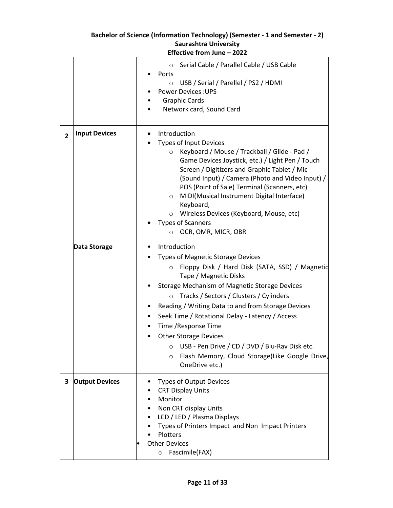|                | Saurashtra University<br>Effective from June - 2022 |                                                                                                                                                                                                                                                                                                                                                                                                                                                                                                                                                                    |  |  |
|----------------|-----------------------------------------------------|--------------------------------------------------------------------------------------------------------------------------------------------------------------------------------------------------------------------------------------------------------------------------------------------------------------------------------------------------------------------------------------------------------------------------------------------------------------------------------------------------------------------------------------------------------------------|--|--|
|                |                                                     | Serial Cable / Parallel Cable / USB Cable<br>$\circ$<br>Ports<br>USB / Serial / Parellel / PS2 / HDMI<br>$\circ$<br><b>Power Devices: UPS</b><br><b>Graphic Cards</b><br>Network card, Sound Card                                                                                                                                                                                                                                                                                                                                                                  |  |  |
| $\overline{2}$ | <b>Input Devices</b>                                | Introduction<br>$\bullet$<br><b>Types of Input Devices</b><br>Keyboard / Mouse / Trackball / Glide - Pad /<br>$\circ$<br>Game Devices Joystick, etc.) / Light Pen / Touch<br>Screen / Digitizers and Graphic Tablet / Mic<br>(Sound Input) / Camera (Photo and Video Input) /<br>POS (Point of Sale) Terminal (Scanners, etc)<br>MIDI(Musical Instrument Digital Interface)<br>$\circ$<br>Keyboard,<br>Wireless Devices (Keyboard, Mouse, etc)<br>$\circ$<br><b>Types of Scanners</b><br>OCR, OMR, MICR, OBR<br>$\circ$                                            |  |  |
|                | Data Storage                                        | Introduction<br><b>Types of Magnetic Storage Devices</b><br>Floppy Disk / Hard Disk (SATA, SSD) / Magnetic<br>$\circ$<br>Tape / Magnetic Disks<br>Storage Mechanism of Magnetic Storage Devices<br>Tracks / Sectors / Clusters / Cylinders<br>$\circ$<br>Reading / Writing Data to and from Storage Devices<br>Seek Time / Rotational Delay - Latency / Access<br>Time / Response Time<br><b>Other Storage Devices</b><br>USB - Pen Drive / CD / DVD / Blu-Rav Disk etc.<br>$\circ$<br>Flash Memory, Cloud Storage(Like Google Drive,<br>$\circ$<br>OneDrive etc.) |  |  |
| 3              | <b>Output Devices</b>                               | <b>Types of Output Devices</b><br><b>CRT Display Units</b><br>Monitor<br>Non CRT display Units<br>LCD / LED / Plasma Displays<br>Types of Printers Impact and Non Impact Printers<br>Plotters<br><b>Other Devices</b><br>Fascimile(FAX)<br>$\circ$                                                                                                                                                                                                                                                                                                                 |  |  |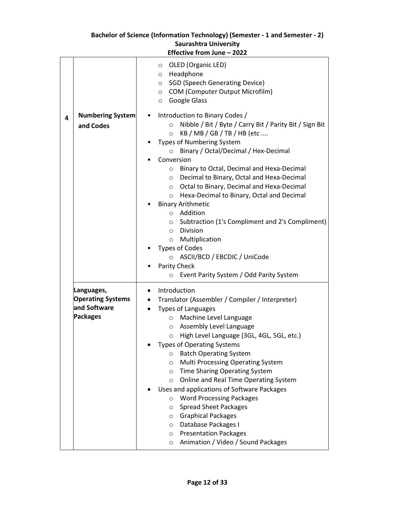| OLED (Organic LED)<br>$\circ$<br>Headphone<br>$\circ$<br><b>SGD (Speech Generating Device)</b><br>$\circ$<br>COM (Computer Output Microfilm)<br>$\circ$<br>Google Glass<br>$\circ$<br><b>Numbering System</b><br>Introduction to Binary Codes /<br>4<br>Nibble / Bit / Byte / Carry Bit / Parity Bit / Sign Bit<br>$\Omega$<br>and Codes<br>KB / MB / GB / TB / HB (etc<br>$\circ$<br><b>Types of Numbering System</b><br>Binary / Octal/Decimal / Hex-Decimal<br>Conversion<br>Binary to Octal, Decimal and Hexa-Decimal<br>$\circ$<br>Decimal to Binary, Octal and Hexa-Decimal<br>$\circ$<br>Octal to Binary, Decimal and Hexa-Decimal<br>$\circ$<br>Hexa-Decimal to Binary, Octal and Decimal<br>$\circ$<br><b>Binary Arithmetic</b><br>Addition<br>$\circ$<br>Subtraction (1's Compliment and 2's Compliment)<br>$\circ$<br><b>Division</b><br>$\circ$<br>Multiplication<br>$\circ$<br><b>Types of Codes</b><br>ASCII/BCD / EBCDIC / UniCode<br>$\circ$<br>Parity Check<br>Event Parity System / Odd Parity System<br>$\circ$<br>Introduction<br>Languages,<br><b>Operating Systems</b><br>Translator (Assembler / Compiler / Interpreter)<br>and Software<br><b>Types of Languages</b><br><b>Packages</b><br>Machine Level Language<br>$\circ$<br>Assembly Level Language<br>$\circ$<br>High Level Language (3GL, 4GL, 5GL, etc.)<br>O<br><b>Types of Operating Systems</b><br><b>Batch Operating System</b><br>$\circ$<br>Multi Processing Operating System<br>O<br><b>Time Sharing Operating System</b><br>$\circ$<br>Online and Real Time Operating System<br>$\circ$<br>Uses and applications of Software Packages | <b>Saurashtra University</b><br>Effective from June - 2022 |                                 |  |  |
|------------------------------------------------------------------------------------------------------------------------------------------------------------------------------------------------------------------------------------------------------------------------------------------------------------------------------------------------------------------------------------------------------------------------------------------------------------------------------------------------------------------------------------------------------------------------------------------------------------------------------------------------------------------------------------------------------------------------------------------------------------------------------------------------------------------------------------------------------------------------------------------------------------------------------------------------------------------------------------------------------------------------------------------------------------------------------------------------------------------------------------------------------------------------------------------------------------------------------------------------------------------------------------------------------------------------------------------------------------------------------------------------------------------------------------------------------------------------------------------------------------------------------------------------------------------------------------------------------------------------------|------------------------------------------------------------|---------------------------------|--|--|
|                                                                                                                                                                                                                                                                                                                                                                                                                                                                                                                                                                                                                                                                                                                                                                                                                                                                                                                                                                                                                                                                                                                                                                                                                                                                                                                                                                                                                                                                                                                                                                                                                              |                                                            |                                 |  |  |
| $\circ$<br><b>Spread Sheet Packages</b><br>$\circ$<br><b>Graphical Packages</b><br>$\circ$<br>Database Packages I<br>$\circ$<br><b>Presentation Packages</b><br>$\circ$                                                                                                                                                                                                                                                                                                                                                                                                                                                                                                                                                                                                                                                                                                                                                                                                                                                                                                                                                                                                                                                                                                                                                                                                                                                                                                                                                                                                                                                      |                                                            | <b>Word Processing Packages</b> |  |  |

# **Bachelor of Science (Information Technology) (Semester - 1 and Semester - 2)**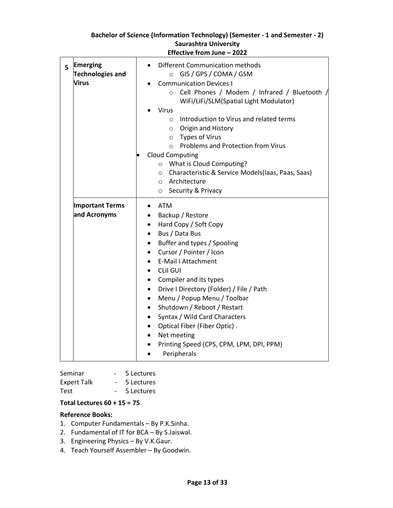| 5 | <b>Emerging</b><br><b>Technologies and</b><br>Virus | Different Communication methods<br>GIS / GPS / COMA / GSM<br>$\circ$<br><b>Communication Devices I</b><br>Cell Phones / Modem / Infrared / Bluetooth /<br>$\Omega$<br>WiFi/LiFi/SLM(Spatial Light Modulator)<br><b>Virus</b><br>Introduction to Virus and related terms<br>$\circ$<br>O Origin and History<br><b>O</b> Types of Virus<br>Problems and Protection from Virus<br>$\circ$<br><b>Cloud Computing</b><br>$\bullet$<br>What is Cloud Computing?<br>$\circ$<br>Characteristic & Service Models(laas, Paas, Saas)<br>$\circ$<br>o Architecture<br>○ Security & Privacy                        |
|---|-----------------------------------------------------|-------------------------------------------------------------------------------------------------------------------------------------------------------------------------------------------------------------------------------------------------------------------------------------------------------------------------------------------------------------------------------------------------------------------------------------------------------------------------------------------------------------------------------------------------------------------------------------------------------|
|   | <b>Important Terms</b><br>and Acronyms              | <b>ATM</b><br>$\bullet$<br>Backup / Restore<br>Hard Copy / Soft Copy<br>$\bullet$<br>Bus / Data Bus<br>$\bullet$<br>Buffer and types / Spooling<br>$\bullet$<br>Cursor / Pointer / Icon<br>$\bullet$<br><b>E-Mail I Attachment</b><br><b>CLII GUI</b><br>Compiler and its types<br>$\bullet$<br>Drive I Directory (Folder) / File / Path<br>Menu / Popup Menu / Toolbar<br>$\bullet$<br>Shutdown / Reboot / Restart<br>$\bullet$<br>Syntax / Wild Card Characters<br>$\bullet$<br>Optical Fiber (Fiber Optic).<br>$\bullet$<br>Net meeting<br>Printing Speed (CPS, CPM, LPM, DPI, PPM)<br>Peripherals |

| Seminar            | 5 Lectures |
|--------------------|------------|
| <b>Expert Talk</b> | 5 Lectures |
| <b>Test</b>        | 5 Lectures |

#### **Total Lectures 60 + 15 = 75**

#### **Reference Books:**

- 1. Computer Fundamentals By P.K.Sinha.
- 2. Fundamental of IT for BCA By S.Jaiswal.
- 3. Engineering Physics By V.K.Gaur.
- 4. Teach Yourself Assembler By Goodwin.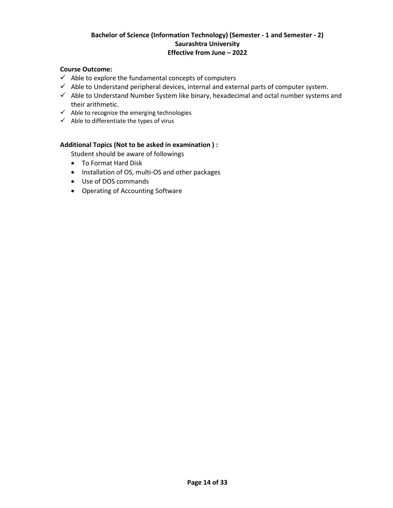#### **Course Outcome:**

- $\checkmark$  Able to explore the fundamental concepts of computers
- $\checkmark$  Able to Understand peripheral devices, internal and external parts of computer system.
- $\checkmark$  Able to Understand Number System like binary, hexadecimal and octal number systems and their arithmetic.
- $\checkmark$  Able to recognize the emerging technologies
- $\checkmark$  Able to differentiate the types of virus

#### **Additional Topics (Not to be asked in examination ) :**

Student should be aware of followings

- To Format Hard Disk
- Installation of OS, multi-OS and other packages
- Use of DOS commands
- Operating of Accounting Software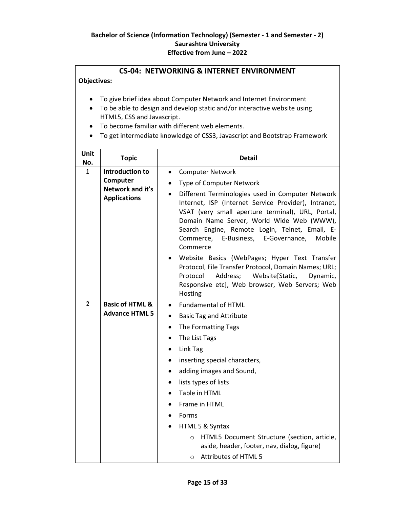#### **CS-04: NETWORKING & INTERNET ENVIRONMENT**

**Objectives:**

- To give brief idea about Computer Network and Internet Environment
- To be able to design and develop static and/or interactive website using HTML5, CSS and Javascript.
- To become familiar with different web elements.
- To get intermediate knowledge of CSS3, Javascript and Bootstrap Framework

| Unit<br>No.                                                                        | <b>Topic</b>                                        | <b>Detail</b>                                                                                                                                                                                                                                                                                                                                                                                                                                                           |  |
|------------------------------------------------------------------------------------|-----------------------------------------------------|-------------------------------------------------------------------------------------------------------------------------------------------------------------------------------------------------------------------------------------------------------------------------------------------------------------------------------------------------------------------------------------------------------------------------------------------------------------------------|--|
| <b>Introduction to</b><br>1<br>Computer<br>Network and it's<br><b>Applications</b> |                                                     | <b>Computer Network</b><br>$\bullet$<br><b>Type of Computer Network</b><br>$\bullet$<br>Different Terminologies used in Computer Network<br>$\bullet$<br>Internet, ISP (Internet Service Provider), Intranet,<br>VSAT (very small aperture terminal), URL, Portal,<br>Domain Name Server, World Wide Web (WWW),<br>Search Engine, Remote Login, Telnet, Email, E-<br>Commerce, E-Business, E-Governance,<br>Mobile<br>Commerce                                          |  |
|                                                                                    |                                                     | Website Basics (WebPages; Hyper Text Transfer<br>Protocol, File Transfer Protocol, Domain Names; URL;<br>Protocol<br>Address;<br>Website[Static,<br>Dynamic,<br>Responsive etc], Web browser, Web Servers; Web<br>Hosting                                                                                                                                                                                                                                               |  |
| $\overline{2}$                                                                     | <b>Basic of HTML &amp;</b><br><b>Advance HTML 5</b> | <b>Fundamental of HTML</b><br>$\bullet$<br><b>Basic Tag and Attribute</b><br>$\bullet$<br>The Formatting Tags<br>The List Tags<br>$\bullet$<br>Link Tag<br>$\bullet$<br>inserting special characters,<br>adding images and Sound,<br>lists types of lists<br>$\bullet$<br>Table in HTML<br>Frame in HTML<br>Forms<br>HTML 5 & Syntax<br>HTML5 Document Structure (section, article,<br>$\circ$<br>aside, header, footer, nav, dialog, figure)<br>O Attributes of HTML 5 |  |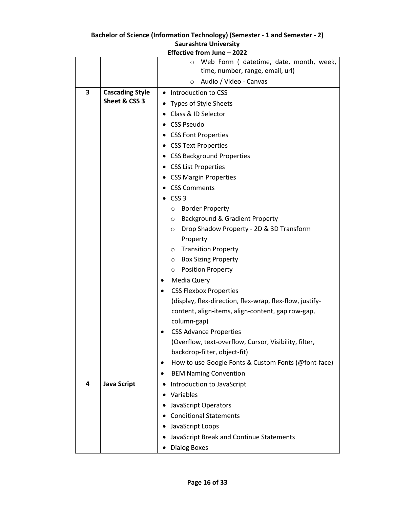| Effective from June - 2022 |                        |                                                          |  |
|----------------------------|------------------------|----------------------------------------------------------|--|
|                            |                        | Web Form (datetime, date, month, week,<br>Ω              |  |
|                            |                        | time, number, range, email, url)                         |  |
|                            |                        | Audio / Video - Canvas<br>$\circ$                        |  |
| 3                          | <b>Cascading Style</b> | Introduction to CSS                                      |  |
|                            | Sheet & CSS 3          | Types of Style Sheets                                    |  |
|                            |                        | Class & ID Selector                                      |  |
|                            |                        | <b>CSS Pseudo</b>                                        |  |
|                            |                        | <b>CSS Font Properties</b>                               |  |
|                            |                        | • CSS Text Properties                                    |  |
|                            |                        | <b>CSS Background Properties</b>                         |  |
|                            |                        | <b>CSS List Properties</b>                               |  |
|                            |                        | <b>CSS Margin Properties</b>                             |  |
|                            |                        | <b>CSS Comments</b>                                      |  |
|                            |                        | CSS <sub>3</sub>                                         |  |
|                            |                        | <b>Border Property</b><br>$\circ$                        |  |
|                            |                        | Background & Gradient Property<br>$\circ$                |  |
|                            |                        | Drop Shadow Property - 2D & 3D Transform<br>$\circ$      |  |
|                            |                        | Property                                                 |  |
|                            |                        | o Transition Property                                    |  |
|                            |                        | <b>Box Sizing Property</b><br>$\circ$                    |  |
|                            |                        | <b>Position Property</b><br>$\circ$                      |  |
|                            |                        | <b>Media Query</b>                                       |  |
|                            |                        | <b>CSS Flexbox Properties</b><br>$\bullet$               |  |
|                            |                        | (display, flex-direction, flex-wrap, flex-flow, justify- |  |
|                            |                        | content, align-items, align-content, gap row-gap,        |  |
|                            |                        | column-gap)                                              |  |
|                            |                        | <b>CSS Advance Properties</b>                            |  |
|                            |                        | (Overflow, text-overflow, Cursor, Visibility, filter,    |  |
|                            |                        | backdrop-filter, object-fit)                             |  |
|                            |                        | How to use Google Fonts & Custom Fonts (@font-face)<br>٠ |  |
|                            |                        | <b>BEM Naming Convention</b>                             |  |
| 4                          | <b>Java Script</b>     | Introduction to JavaScript<br>$\bullet$                  |  |
|                            |                        | Variables                                                |  |
|                            |                        | JavaScript Operators                                     |  |
|                            |                        | <b>Conditional Statements</b>                            |  |
|                            |                        | JavaScript Loops                                         |  |
|                            |                        | JavaScript Break and Continue Statements                 |  |
|                            |                        | <b>Dialog Boxes</b>                                      |  |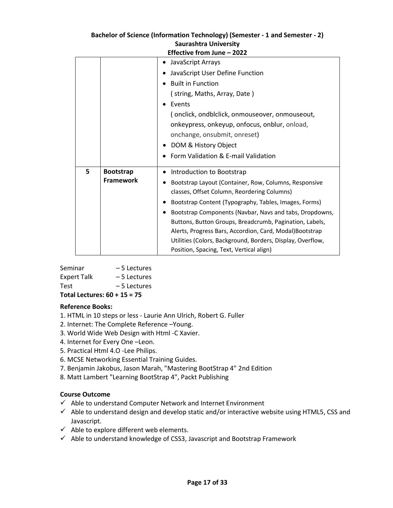| Saurashtra University      |                  |                                                                                                        |
|----------------------------|------------------|--------------------------------------------------------------------------------------------------------|
| Effective from June - 2022 |                  |                                                                                                        |
|                            |                  | JavaScript Arrays                                                                                      |
|                            |                  | JavaScript User Define Function<br>$\bullet$                                                           |
|                            |                  | <b>Built in Function</b>                                                                               |
|                            |                  | (string, Maths, Array, Date)                                                                           |
|                            |                  | Events<br>$\bullet$                                                                                    |
|                            |                  | (onclick, ondblclick, onmouseover, onmouseout,                                                         |
|                            |                  | onkeypress, onkeyup, onfocus, onblur, onload,                                                          |
|                            |                  | onchange, onsubmit, onreset)                                                                           |
|                            |                  | DOM & History Object<br>٠                                                                              |
|                            |                  | Form Validation & E-mail Validation                                                                    |
|                            |                  |                                                                                                        |
| 5                          | <b>Bootstrap</b> | Introduction to Bootstrap                                                                              |
|                            | <b>Framework</b> | Bootstrap Layout (Container, Row, Columns, Responsive                                                  |
|                            |                  | classes, Offset Column, Reordering Columns)                                                            |
|                            |                  | Bootstrap Content (Typography, Tables, Images, Forms)                                                  |
|                            |                  | Bootstrap Components (Navbar, Navs and tabs, Dropdowns,                                                |
|                            |                  | Buttons, Button Groups, Breadcrumb, Pagination, Labels,                                                |
|                            |                  | Alerts, Progress Bars, Accordion, Card, Modal)Bootstrap                                                |
|                            |                  | Utilities (Colors, Background, Borders, Display, Overflow,<br>Position, Spacing, Text, Vertical align) |

| Bachelor of Science (Information Technology) (Semester - 1 and Semester - 2) |
|------------------------------------------------------------------------------|
| <b>Saurashtra University</b>                                                 |

| Seminar            | $-5$ Lectures |
|--------------------|---------------|
| <b>Expert Talk</b> | – 5 Lectures  |
| <b>Test</b>        | – 5 Lectures  |
|                    |               |

**Total Lectures: 60 + 15 = 75**

#### **Reference Books:**

- 1. HTML in 10 steps or less Laurie Ann Ulrich, Robert G. Fuller
- 2. Internet: The Complete Reference –Young.
- 3. World Wide Web Design with Html -C Xavier.
- 4. Internet for Every One –Leon.
- 5. Practical Html 4.O -Lee Philips.
- 6. MCSE Networking Essential Training Guides.
- 7. Benjamin Jakobus, Jason Marah, "Mastering BootStrap 4" 2nd Edition
- 8. Matt Lambert "Learning BootStrap 4", Packt Publishing

#### **Course Outcome**

- $\checkmark$  Able to understand Computer Network and Internet Environment
- $\checkmark$  Able to understand design and develop static and/or interactive website using HTML5, CSS and Javascript.
- $\checkmark$  Able to explore different web elements.
- $\checkmark$  Able to understand knowledge of CSS3, Javascript and Bootstrap Framework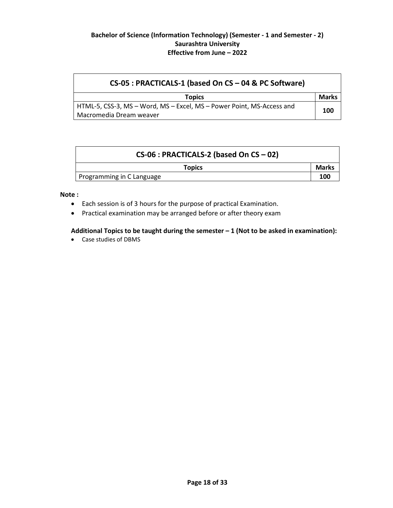| CS-05 : PRACTICALS-1 (based On CS - 04 & PC Software)                 |              |
|-----------------------------------------------------------------------|--------------|
| <b>Topics</b>                                                         | <b>Marks</b> |
| HTML-5, CSS-3, MS – Word, MS – Excel, MS – Power Point, MS-Access and | 100          |
| Macromedia Dream weaver                                               |              |

|                           | $CS-06$ : PRACTICALS-2 (based On CS - 02) |              |
|---------------------------|-------------------------------------------|--------------|
|                           | <b>Topics</b>                             | <b>Marks</b> |
| Programming in C Language |                                           | 100          |

#### **Note :**

- Each session is of 3 hours for the purpose of practical Examination.
- Practical examination may be arranged before or after theory exam

#### **Additional Topics to be taught during the semester – 1 (Not to be asked in examination):**

Case studies of DBMS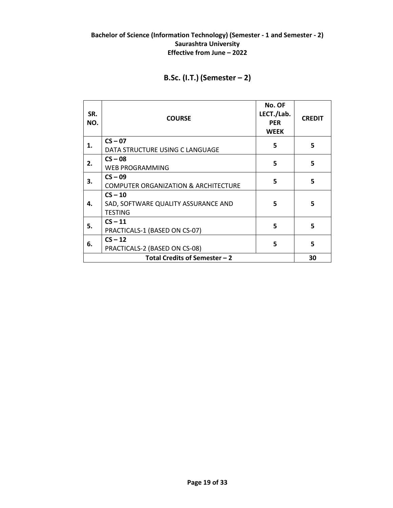# **B.Sc. (I.T.) (Semester – 2)**

| SR.<br>NO.                    | <b>COURSE</b>                                                      | No. OF<br>LECT./Lab.<br><b>PER</b><br><b>WEEK</b> | <b>CREDIT</b> |
|-------------------------------|--------------------------------------------------------------------|---------------------------------------------------|---------------|
| 1.                            | $CS - 07$<br>DATA STRUCTURE USING C LANGUAGE                       | 5                                                 | 5             |
| 2.                            | $CS - 08$<br><b>WEB PROGRAMMING</b>                                | 5                                                 | 5             |
| 3.                            | $CS - 09$<br><b>COMPUTER ORGANIZATION &amp; ARCHITECTURE</b>       | 5                                                 | 5             |
| 4.                            | $CS - 10$<br>SAD, SOFTWARE QUALITY ASSURANCE AND<br><b>TESTING</b> | 5                                                 | 5             |
| 5.                            | $CS - 11$<br>PRACTICALS-1 (BASED ON CS-07)                         | 5                                                 | 5             |
| 6.                            | $CS - 12$<br>PRACTICALS-2 (BASED ON CS-08)                         | 5                                                 | 5             |
| Total Credits of Semester - 2 |                                                                    |                                                   |               |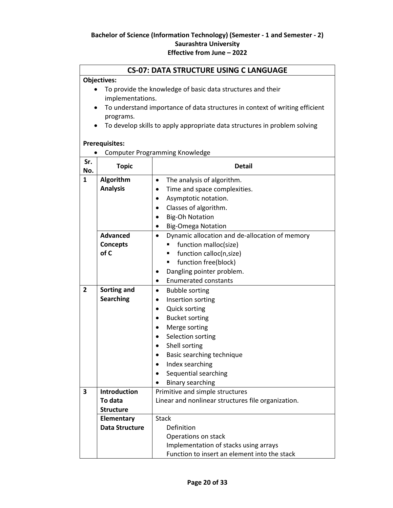#### **CS-07: DATA STRUCTURE USING C LANGUAGE**

#### **Objectives:**

- To provide the knowledge of basic data structures and their implementations.
- To understand importance of data structures in context of writing efficient programs.
- To develop skills to apply appropriate data structures in problem solving

#### **Prerequisites:**

|                         | <b>Computer Programming Knowledge</b> |                                                             |  |
|-------------------------|---------------------------------------|-------------------------------------------------------------|--|
| Sr.<br>No.              | <b>Topic</b>                          | <b>Detail</b>                                               |  |
| $\mathbf{1}$            | Algorithm                             | The analysis of algorithm.<br>$\bullet$                     |  |
|                         | <b>Analysis</b>                       | Time and space complexities.<br>$\bullet$                   |  |
|                         |                                       | Asymptotic notation.<br>$\bullet$                           |  |
|                         |                                       | Classes of algorithm.<br>$\bullet$                          |  |
|                         |                                       | <b>Big-Oh Notation</b><br>$\bullet$                         |  |
|                         |                                       | <b>Big-Omega Notation</b><br>$\bullet$                      |  |
|                         | <b>Advanced</b>                       | Dynamic allocation and de-allocation of memory<br>$\bullet$ |  |
|                         | <b>Concepts</b>                       | function malloc(size)                                       |  |
|                         | of C                                  | function calloc(n,size)                                     |  |
|                         |                                       | function free(block)<br>٠                                   |  |
|                         |                                       | Dangling pointer problem.<br>٠                              |  |
|                         |                                       | <b>Enumerated constants</b><br>$\bullet$                    |  |
| $\overline{2}$          | Sorting and                           | <b>Bubble sorting</b><br>$\bullet$                          |  |
|                         | <b>Searching</b>                      | Insertion sorting<br>$\bullet$                              |  |
|                         |                                       | <b>Quick sorting</b><br>$\bullet$                           |  |
|                         |                                       | <b>Bucket sorting</b><br>$\bullet$                          |  |
|                         |                                       | Merge sorting                                               |  |
|                         |                                       | Selection sorting                                           |  |
|                         |                                       | Shell sorting<br>$\bullet$                                  |  |
|                         |                                       | Basic searching technique<br>$\bullet$                      |  |
|                         |                                       | Index searching<br>$\bullet$                                |  |
|                         |                                       | Sequential searching                                        |  |
|                         |                                       | <b>Binary searching</b>                                     |  |
| $\overline{\mathbf{3}}$ | <b>Introduction</b>                   | Primitive and simple structures                             |  |
|                         | To data                               | Linear and nonlinear structures file organization.          |  |
|                         | <b>Structure</b>                      |                                                             |  |
|                         | <b>Elementary</b>                     | <b>Stack</b>                                                |  |
|                         | <b>Data Structure</b>                 | Definition                                                  |  |
|                         |                                       | Operations on stack                                         |  |
|                         |                                       | Implementation of stacks using arrays                       |  |
|                         |                                       | Function to insert an element into the stack                |  |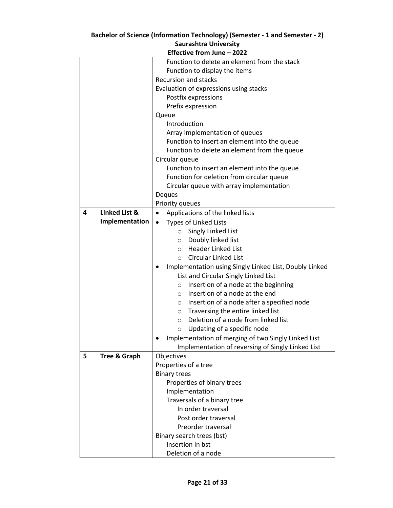|   | Effective from June - 2022 |                                                                                         |  |  |
|---|----------------------------|-----------------------------------------------------------------------------------------|--|--|
|   |                            | Function to delete an element from the stack                                            |  |  |
|   |                            | Function to display the items                                                           |  |  |
|   |                            | <b>Recursion and stacks</b>                                                             |  |  |
|   |                            | Evaluation of expressions using stacks                                                  |  |  |
|   |                            | Postfix expressions                                                                     |  |  |
|   |                            | Prefix expression                                                                       |  |  |
|   |                            | Queue                                                                                   |  |  |
|   |                            | Introduction                                                                            |  |  |
|   |                            | Array implementation of queues                                                          |  |  |
|   |                            | Function to insert an element into the queue                                            |  |  |
|   |                            | Function to delete an element from the queue                                            |  |  |
|   |                            | Circular queue                                                                          |  |  |
|   |                            | Function to insert an element into the queue                                            |  |  |
|   |                            | Function for deletion from circular queue                                               |  |  |
|   |                            | Circular queue with array implementation                                                |  |  |
|   |                            | Deques                                                                                  |  |  |
|   |                            | Priority queues                                                                         |  |  |
| 4 | <b>Linked List &amp;</b>   | Applications of the linked lists<br>$\bullet$                                           |  |  |
|   | Implementation             | Types of Linked Lists                                                                   |  |  |
|   |                            | Singly Linked List<br>$\circ$                                                           |  |  |
|   |                            | O Doubly linked list                                                                    |  |  |
|   |                            | <b>Header Linked List</b><br>$\circ$                                                    |  |  |
|   |                            | <b>Circular Linked List</b><br>$\circ$                                                  |  |  |
|   |                            |                                                                                         |  |  |
|   |                            | Implementation using Singly Linked List, Doubly Linked<br>$\bullet$                     |  |  |
|   |                            | List and Circular Singly Linked List<br>Insertion of a node at the beginning<br>$\circ$ |  |  |
|   |                            | Insertion of a node at the end<br>$\circ$                                               |  |  |
|   |                            | Insertion of a node after a specified node<br>$\circ$                                   |  |  |
|   |                            |                                                                                         |  |  |
|   |                            | Traversing the entire linked list<br>$\circ$<br>Deletion of a node from linked list     |  |  |
|   |                            | $\circ$                                                                                 |  |  |
|   |                            | Updating of a specific node<br>$\circ$                                                  |  |  |
|   |                            | Implementation of merging of two Singly Linked List                                     |  |  |
|   |                            | Implementation of reversing of Singly Linked List                                       |  |  |
| 5 | <b>Tree &amp; Graph</b>    | Objectives                                                                              |  |  |
|   |                            | Properties of a tree                                                                    |  |  |
|   |                            | <b>Binary trees</b>                                                                     |  |  |
|   |                            | Properties of binary trees                                                              |  |  |
|   |                            | Implementation                                                                          |  |  |
|   |                            | Traversals of a binary tree                                                             |  |  |
|   |                            | In order traversal                                                                      |  |  |
|   |                            | Post order traversal                                                                    |  |  |
|   |                            | Preorder traversal                                                                      |  |  |
|   |                            | Binary search trees (bst)                                                               |  |  |
|   |                            | Insertion in bst                                                                        |  |  |
|   |                            | Deletion of a node                                                                      |  |  |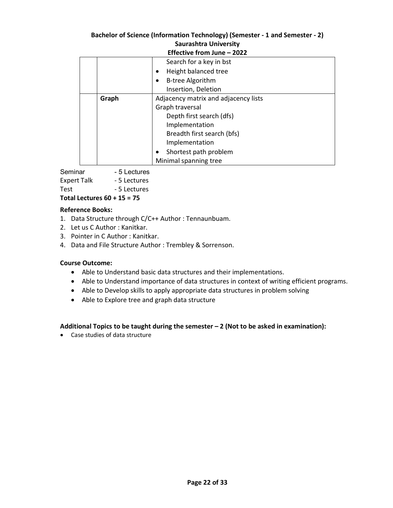| Effective from June - 2022 |       |                                      |
|----------------------------|-------|--------------------------------------|
|                            |       | Search for a key in bst              |
|                            |       | Height balanced tree                 |
|                            |       | <b>B-tree Algorithm</b>              |
|                            |       | Insertion, Deletion                  |
|                            | Graph | Adjacency matrix and adjacency lists |
|                            |       | Graph traversal                      |
|                            |       | Depth first search (dfs)             |
|                            |       | Implementation                       |
|                            |       | Breadth first search (bfs)           |
|                            |       | Implementation                       |
|                            |       | Shortest path problem                |
|                            |       | Minimal spanning tree                |

Seminar - 5 Lectures Expert Talk - 5 Lectures Test - 5 Lectures **Total Lectures 60 + 15 = 75**

# **Reference Books:**

- 1. Data Structure through C/C++ Author : Tennaunbuam.
- 2. Let us C Author : Kanitkar.
- 3. Pointer in C Author : Kanitkar.
- 4. Data and File Structure Author : Trembley & Sorrenson.

#### **Course Outcome:**

- Able to Understand basic data structures and their implementations.
- Able to Understand importance of data structures in context of writing efficient programs.
- Able to Develop skills to apply appropriate data structures in problem solving
- Able to Explore tree and graph data structure

#### **Additional Topics to be taught during the semester – 2 (Not to be asked in examination):**

Case studies of data structure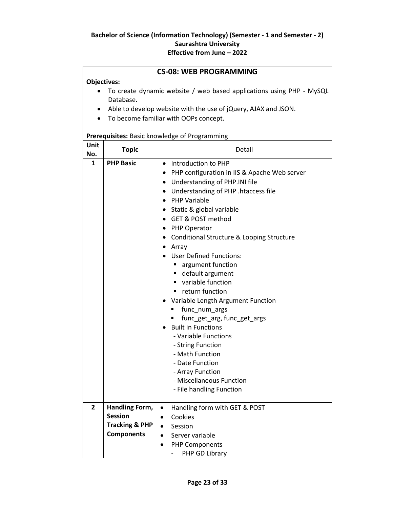| <b>CS-08: WEB PROGRAMMING</b> |                                                                                                                                                                                              |                                                                                                                                                                                                                                                                                                                                                                                                                                                                                                                                                                                                                                                                                                                                    |  |
|-------------------------------|----------------------------------------------------------------------------------------------------------------------------------------------------------------------------------------------|------------------------------------------------------------------------------------------------------------------------------------------------------------------------------------------------------------------------------------------------------------------------------------------------------------------------------------------------------------------------------------------------------------------------------------------------------------------------------------------------------------------------------------------------------------------------------------------------------------------------------------------------------------------------------------------------------------------------------------|--|
| <b>Objectives:</b>            |                                                                                                                                                                                              |                                                                                                                                                                                                                                                                                                                                                                                                                                                                                                                                                                                                                                                                                                                                    |  |
| $\bullet$                     | To create dynamic website / web based applications using PHP - MySQL<br>Database.<br>Able to develop website with the use of jQuery, AJAX and JSON.<br>To become familiar with OOPs concept. |                                                                                                                                                                                                                                                                                                                                                                                                                                                                                                                                                                                                                                                                                                                                    |  |
|                               |                                                                                                                                                                                              | Prerequisites: Basic knowledge of Programming                                                                                                                                                                                                                                                                                                                                                                                                                                                                                                                                                                                                                                                                                      |  |
| Unit<br>No.                   | <b>Topic</b>                                                                                                                                                                                 | Detail                                                                                                                                                                                                                                                                                                                                                                                                                                                                                                                                                                                                                                                                                                                             |  |
| $\mathbf{1}$                  | <b>PHP Basic</b>                                                                                                                                                                             | Introduction to PHP<br>$\bullet$<br>• PHP configuration in IIS & Apache Web server<br>• Understanding of PHP.INI file<br>• Understanding of PHP .htaccess file<br>• PHP Variable<br>• Static & global variable<br>• GET & POST method<br>• PHP Operator<br>Conditional Structure & Looping Structure<br>$\bullet$<br>Array<br><b>User Defined Functions:</b><br>■ argument function<br>■ default argument<br>variable function<br>return function<br>Variable Length Argument Function<br>func_num_args<br>func_get_arg, func_get_args<br><b>Built in Functions</b><br>- Variable Functions<br>- String Function<br>- Math Function<br>- Date Function<br>- Array Function<br>- Miscellaneous Function<br>- File handling Function |  |
| $\overline{2}$                | Handling Form,<br><b>Session</b><br><b>Tracking &amp; PHP</b><br><b>Components</b>                                                                                                           | Handling form with GET & POST<br>$\bullet$<br>Cookies<br>$\bullet$<br>Session<br>$\bullet$<br>Server variable<br><b>PHP Components</b><br>PHP GD Library                                                                                                                                                                                                                                                                                                                                                                                                                                                                                                                                                                           |  |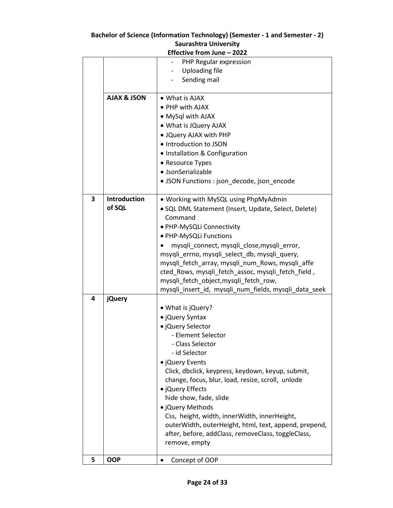|   | Effective from June - 2022 |                                                                      |  |
|---|----------------------------|----------------------------------------------------------------------|--|
|   |                            | PHP Regular expression                                               |  |
|   |                            | <b>Uploading file</b>                                                |  |
|   |                            | Sending mail                                                         |  |
|   |                            |                                                                      |  |
|   | <b>AJAX &amp; JSON</b>     | • What is AJAX                                                       |  |
|   |                            | • PHP with AJAX                                                      |  |
|   |                            | • MySql with AJAX                                                    |  |
|   |                            | • What is JQuery AJAX                                                |  |
|   |                            | . JQuery AJAX with PHP                                               |  |
|   |                            | · Introduction to JSON                                               |  |
|   |                            | • Installation & Configuration                                       |  |
|   |                            | • Resource Types                                                     |  |
|   |                            | · JsonSerializable                                                   |  |
|   |                            | • JSON Functions : json_decode, json_encode                          |  |
|   |                            |                                                                      |  |
| 3 | <b>Introduction</b>        | • Working with MySQL using PhpMyAdmin                                |  |
|   | of SQL                     | · SQL DML Statement (Insert, Update, Select, Delete)                 |  |
|   |                            | Command                                                              |  |
|   |                            | · PHP-MySQLi Connectivity                                            |  |
|   |                            | · PHP-MySQLi Functions                                               |  |
|   |                            | mysqli_connect, mysqli_close,mysqli_error,                           |  |
|   |                            | msyqli_errno, mysqli_select_db, mysqli_query,                        |  |
|   |                            | mysqli_fetch_array, mysqli_num_Rows, mysqli_affe                     |  |
|   |                            | cted_Rows, mysqli_fetch_assoc, mysqli_fetch_field,                   |  |
|   |                            | mysqli_fetch_object,mysqli_fetch_row,                                |  |
|   |                            | mysqli_insert_id, mysqli_num_fields, mysqli_data_seek                |  |
| 4 | <b>jQuery</b>              |                                                                      |  |
|   |                            | • What is jQuery?                                                    |  |
|   |                            | • jQuery Syntax                                                      |  |
|   |                            | · jQuery Selector<br>- Element Selector                              |  |
|   |                            | - Class Selector                                                     |  |
|   |                            | - id Selector                                                        |  |
|   |                            |                                                                      |  |
|   |                            | • jQuery Events<br>Click, dbclick, keypress, keydown, keyup, submit, |  |
|   |                            | change, focus, blur, load, resize, scroll, unlode                    |  |
|   |                            | • jQuery Effects                                                     |  |
|   |                            | hide show, fade, slide                                               |  |
|   |                            | • jQuery Methods                                                     |  |
|   |                            | Css, height, width, innerWidth, innerHeight,                         |  |
|   |                            | outerWidth, outerHeight, html, text, append, prepend,                |  |
|   |                            | after, before, addClass, removeClass, toggleClass,                   |  |
|   |                            | remove, empty                                                        |  |
|   |                            |                                                                      |  |
| 5 | <b>OOP</b>                 | Concept of OOP                                                       |  |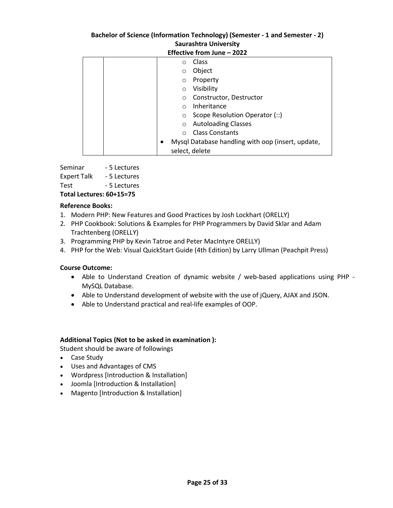| Effective from June - 2022 |                                                   |  |
|----------------------------|---------------------------------------------------|--|
| Class<br>$\Omega$          |                                                   |  |
| Object<br>$\circ$          |                                                   |  |
| Property<br>$\circ$        |                                                   |  |
| Visibility<br>$\Omega$     |                                                   |  |
| $\circ$                    | Constructor, Destructor                           |  |
| Inheritance<br>$\bigcap$   |                                                   |  |
| $\circ$                    | Scope Resolution Operator (::)                    |  |
| $\circ$                    | <b>Autoloading Classes</b>                        |  |
|                            | <b>Class Constants</b>                            |  |
|                            | Mysql Database handling with oop (insert, update, |  |
| select, delete             |                                                   |  |

| Total Lectures: 60+15=75 |  |  |
|--------------------------|--|--|
| - 5 Lectures             |  |  |
| - 5 Lectures             |  |  |
| - 5 Lectures             |  |  |
|                          |  |  |

# **Reference Books:**

- 1. Modern PHP: New Features and Good Practices by Josh Lockhart (ORELLY)
- 2. PHP Cookbook: Solutions & Examples for PHP Programmers by David Sklar and Adam Trachtenberg (ORELLY)
- 3. Programming PHP by Kevin Tatroe and Peter MacIntyre ORELLY)
- 4. PHP for the Web: Visual QuickStart Guide (4th Edition) by Larry Ullman (Peachpit Press)

#### **Course Outcome:**

- Able to Understand Creation of dynamic website / web-based applications using PHP MySQL Database.
- Able to Understand development of website with the use of jQuery, AJAX and JSON.
- Able to Understand practical and real-life examples of OOP.

#### **Additional Topics (Not to be asked in examination ):**

Student should be aware of followings

- Case Study
- Uses and Advantages of CMS
- Wordpress [Introduction & Installation]
- Joomla [Introduction & Installation]
- Magento [Introduction & Installation]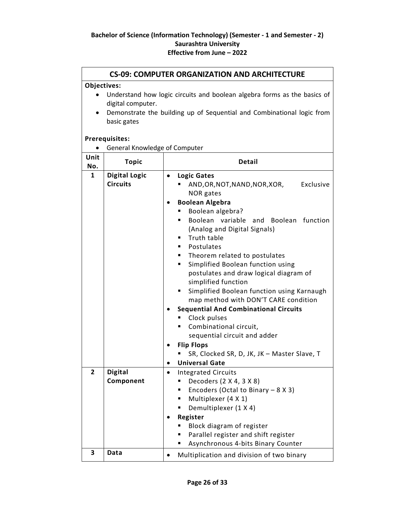#### **CS-09: COMPUTER ORGANIZATION AND ARCHITECTURE**

#### **Objectives:**

- Understand how logic circuits and boolean algebra forms as the basics of digital computer.
- Demonstrate the building up of Sequential and Combinational logic from basic gates

#### **Prerequisites:**

|  |  |  | <b>General Knowledge of Computer</b> |
|--|--|--|--------------------------------------|
|--|--|--|--------------------------------------|

| Unit<br>No.    | <b>Topic</b>                            | <b>Detail</b>                                                                                                                                                                                                                                                                                                                                                                                                                                                                                                                                                                                                                                                                                                                      |
|----------------|-----------------------------------------|------------------------------------------------------------------------------------------------------------------------------------------------------------------------------------------------------------------------------------------------------------------------------------------------------------------------------------------------------------------------------------------------------------------------------------------------------------------------------------------------------------------------------------------------------------------------------------------------------------------------------------------------------------------------------------------------------------------------------------|
| $\mathbf{1}$   | <b>Digital Logic</b><br><b>Circuits</b> | <b>Logic Gates</b><br>$\bullet$<br>Exclusive<br>AND,OR,NOT,NAND,NOR,XOR,<br>NOR gates<br><b>Boolean Algebra</b><br>Boolean algebra?<br>Boolean<br>variable<br>function<br>and<br>Boolean<br>■<br>(Analog and Digital Signals)<br>Truth table<br>٠<br>Postulates<br>٠<br>Theorem related to postulates<br>٠<br>Simplified Boolean function using<br>٠<br>postulates and draw logical diagram of<br>simplified function<br>Simplified Boolean function using Karnaugh<br>map method with DON'T CARE condition<br><b>Sequential And Combinational Circuits</b><br>Clock pulses<br>Combinational circuit,<br>sequential circuit and adder<br><b>Flip Flops</b><br>SR, Clocked SR, D, JK, JK - Master Slave, T<br><b>Universal Gate</b> |
| $\overline{2}$ | <b>Digital</b><br>Component             | <b>Integrated Circuits</b><br>Decoders (2 X 4, 3 X 8)<br>٠<br>Encoders (Octal to Binary $-8 X 3$ )<br>٠<br>Multiplexer (4 X 1)<br>٠<br>Demultiplexer (1 X 4)<br>Register<br>Block diagram of register<br>Parallel register and shift register<br>Asynchronous 4-bits Binary Counter                                                                                                                                                                                                                                                                                                                                                                                                                                                |
| 3              | Data                                    | Multiplication and division of two binary                                                                                                                                                                                                                                                                                                                                                                                                                                                                                                                                                                                                                                                                                          |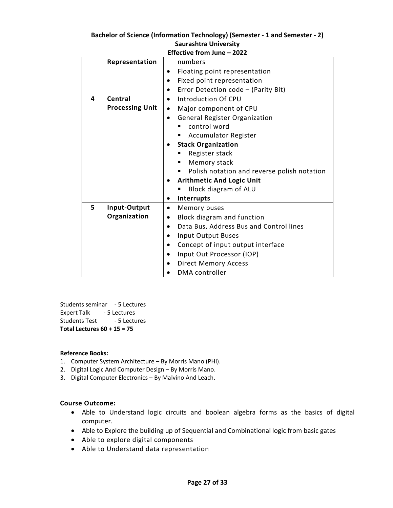| Bachelor of Science (Information Technology) (Semester - 1 and Semester - 2) |
|------------------------------------------------------------------------------|
| <b>Saurashtra University</b>                                                 |

|   | Effective from June - 2022 |                                                   |  |  |  |
|---|----------------------------|---------------------------------------------------|--|--|--|
|   | Representation             | numbers                                           |  |  |  |
|   |                            | Floating point representation                     |  |  |  |
|   |                            | Fixed point representation                        |  |  |  |
|   |                            | Error Detection code - (Parity Bit)               |  |  |  |
| 4 | Central                    | Introduction Of CPU<br>$\bullet$                  |  |  |  |
|   | <b>Processing Unit</b>     | Major component of CPU<br>$\bullet$               |  |  |  |
|   |                            | <b>General Register Organization</b><br>$\bullet$ |  |  |  |
|   |                            | control word                                      |  |  |  |
|   |                            | <b>Accumulator Register</b>                       |  |  |  |
|   |                            | <b>Stack Organization</b>                         |  |  |  |
|   |                            | Register stack                                    |  |  |  |
|   |                            | Memory stack                                      |  |  |  |
|   |                            | Polish notation and reverse polish notation       |  |  |  |
|   |                            | <b>Arithmetic And Logic Unit</b><br>٠             |  |  |  |
|   |                            | Block diagram of ALU                              |  |  |  |
|   |                            | Interrupts                                        |  |  |  |
| 5 | Input-Output               | Memory buses<br>$\bullet$                         |  |  |  |
|   | Organization               | Block diagram and function<br>٠                   |  |  |  |
|   |                            | Data Bus, Address Bus and Control lines           |  |  |  |
|   |                            | <b>Input Output Buses</b>                         |  |  |  |
|   |                            | Concept of input output interface                 |  |  |  |
|   |                            | Input Out Processor (IOP)                         |  |  |  |
|   |                            | <b>Direct Memory Access</b>                       |  |  |  |
|   |                            | DMA controller                                    |  |  |  |

Students seminar - 5 Lectures Expert Talk - 5 Lectures Students Test - 5 Lectures **Total Lectures 60 + 15 = 75**

#### **Reference Books:**

- 1. Computer System Architecture By Morris Mano (PHI).
- 2. Digital Logic And Computer Design By Morris Mano.
- 3. Digital Computer Electronics By Malvino And Leach.

#### **Course Outcome:**

- Able to Understand logic circuits and boolean algebra forms as the basics of digital computer.
- Able to Explore the building up of Sequential and Combinational logic from basic gates
- Able to explore digital components
- Able to Understand data representation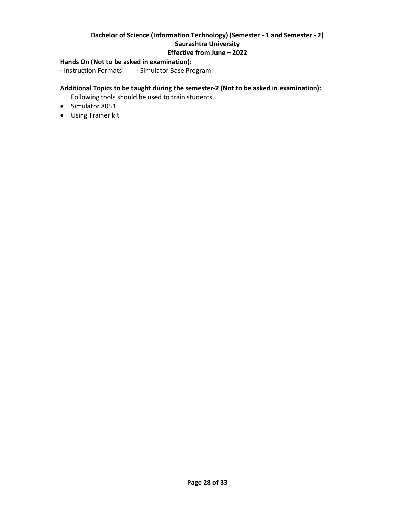#### **Hands On (Not to be asked in examination):**

**-** Instruction Formats **-** Simulator Base Program

#### **Additional Topics to be taught during the semester-2 (Not to be asked in examination):**

Following tools should be used to train students.

- Simulator 8051
- Using Trainer kit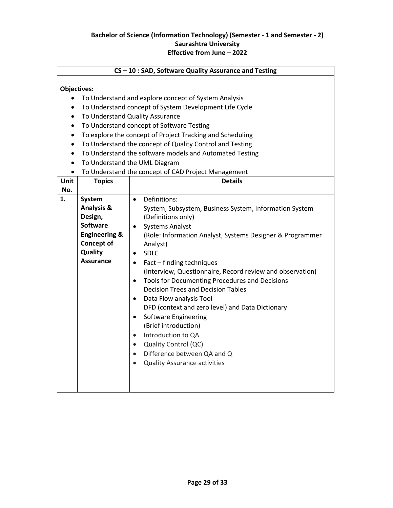#### **CS – 10 : SAD, Software Quality Assurance and Testing**

#### **Objectives:**

- To Understand and explore concept of System Analysis
- To Understand concept of System Development Life Cycle
- To Understand Quality Assurance
- To Understand concept of Software Testing
- To explore the concept of Project Tracking and Scheduling
- To Understand the concept of Quality Control and Testing
- To Understand the software models and Automated Testing
- To Understand the UML Diagram
- To Understand the concept of CAD Project Management

| Unit | <b>Topics</b>                                                                                                                                 | <b>Details</b>                                                                                                                                                                                                                                                                                                                                                                                                                                                                                                                                                                                                                                                                                                                                                                              |
|------|-----------------------------------------------------------------------------------------------------------------------------------------------|---------------------------------------------------------------------------------------------------------------------------------------------------------------------------------------------------------------------------------------------------------------------------------------------------------------------------------------------------------------------------------------------------------------------------------------------------------------------------------------------------------------------------------------------------------------------------------------------------------------------------------------------------------------------------------------------------------------------------------------------------------------------------------------------|
| No.  |                                                                                                                                               |                                                                                                                                                                                                                                                                                                                                                                                                                                                                                                                                                                                                                                                                                                                                                                                             |
| 1.   | <b>System</b><br><b>Analysis &amp;</b><br>Design,<br>Software<br><b>Engineering &amp;</b><br><b>Concept of</b><br>Quality<br><b>Assurance</b> | Definitions:<br>$\bullet$<br>System, Subsystem, Business System, Information System<br>(Definitions only)<br><b>Systems Analyst</b><br>٠<br>(Role: Information Analyst, Systems Designer & Programmer<br>Analyst)<br><b>SDLC</b><br>$\bullet$<br>Fact – finding techniques<br>$\bullet$<br>(Interview, Questionnaire, Record review and observation)<br>Tools for Documenting Procedures and Decisions<br>$\bullet$<br><b>Decision Trees and Decision Tables</b><br>Data Flow analysis Tool<br>$\bullet$<br>DFD (context and zero level) and Data Dictionary<br><b>Software Engineering</b><br>$\bullet$<br>(Brief introduction)<br>Introduction to QA<br>$\bullet$<br>Quality Control (QC)<br>$\bullet$<br>Difference between QA and Q<br>$\bullet$<br><b>Quality Assurance activities</b> |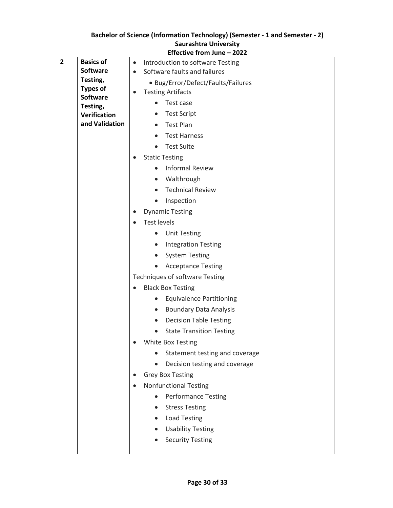|              |                             | Effective from June – 2022                    |
|--------------|-----------------------------|-----------------------------------------------|
| $\mathbf{2}$ | <b>Basics of</b>            | Introduction to software Testing<br>$\bullet$ |
|              | <b>Software</b>             | Software faults and failures<br>$\bullet$     |
|              | Testing,<br><b>Types of</b> | • Bug/Error/Defect/Faults/Failures            |
|              | <b>Software</b>             | <b>Testing Artifacts</b><br>$\bullet$         |
|              | Testing,                    | Test case                                     |
|              | Verification                | <b>Test Script</b><br>$\bullet$               |
|              | and Validation              | Test Plan<br>$\bullet$                        |
|              |                             | <b>Test Harness</b><br>$\bullet$              |
|              |                             | <b>Test Suite</b><br>$\bullet$                |
|              |                             | <b>Static Testing</b><br>$\bullet$            |
|              |                             | <b>Informal Review</b>                        |
|              |                             | Walthrough<br>$\bullet$                       |
|              |                             | <b>Technical Review</b><br>$\bullet$          |
|              |                             | Inspection<br>$\bullet$                       |
|              |                             | <b>Dynamic Testing</b><br>$\bullet$           |
|              |                             | <b>Test levels</b><br>$\bullet$               |
|              |                             | <b>Unit Testing</b><br>$\bullet$              |
|              |                             | <b>Integration Testing</b><br>$\bullet$       |
|              |                             | <b>System Testing</b><br>$\bullet$            |
|              |                             | <b>Acceptance Testing</b><br>$\bullet$        |
|              |                             | <b>Techniques of software Testing</b>         |
|              |                             | <b>Black Box Testing</b><br>$\bullet$         |
|              |                             | <b>Equivalence Partitioning</b>               |
|              |                             | <b>Boundary Data Analysis</b><br>$\bullet$    |
|              |                             | <b>Decision Table Testing</b><br>$\bullet$    |
|              |                             | <b>State Transition Testing</b><br>$\bullet$  |
|              |                             | White Box Testing<br>$\bullet$                |
|              |                             | Statement testing and coverage                |
|              |                             | Decision testing and coverage                 |
|              |                             | <b>Grey Box Testing</b><br>$\bullet$          |
|              |                             | <b>Nonfunctional Testing</b>                  |
|              |                             | <b>Performance Testing</b>                    |
|              |                             | <b>Stress Testing</b>                         |
|              |                             | <b>Load Testing</b><br>$\bullet$              |
|              |                             | <b>Usability Testing</b>                      |
|              |                             | <b>Security Testing</b>                       |
|              |                             |                                               |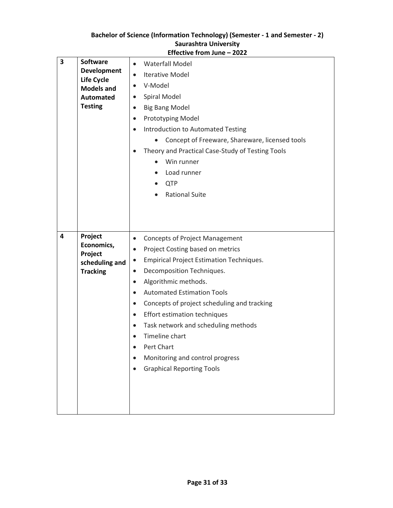|                         |                                                                                                                       | Effective from June - 2022                                                                                                                                                                                                                                                                                                                                                                                                                                                                                                                                               |
|-------------------------|-----------------------------------------------------------------------------------------------------------------------|--------------------------------------------------------------------------------------------------------------------------------------------------------------------------------------------------------------------------------------------------------------------------------------------------------------------------------------------------------------------------------------------------------------------------------------------------------------------------------------------------------------------------------------------------------------------------|
| $\overline{\mathbf{3}}$ | <b>Software</b><br><b>Development</b><br><b>Life Cycle</b><br><b>Models and</b><br><b>Automated</b><br><b>Testing</b> | <b>Waterfall Model</b><br>$\bullet$<br><b>Iterative Model</b><br>$\bullet$<br>V-Model<br>$\bullet$<br>Spiral Model<br>$\bullet$<br><b>Big Bang Model</b><br>$\bullet$<br>Prototyping Model<br>$\bullet$<br><b>Introduction to Automated Testing</b><br>$\bullet$<br>Concept of Freeware, Shareware, licensed tools<br>Theory and Practical Case-Study of Testing Tools<br>Win runner<br>Load runner<br><b>QTP</b><br>$\bullet$<br><b>Rational Suite</b>                                                                                                                  |
| 4                       | Project<br>Economics,<br>Project<br>scheduling and<br><b>Tracking</b>                                                 | <b>Concepts of Project Management</b><br>$\bullet$<br>Project Costing based on metrics<br>$\bullet$<br><b>Empirical Project Estimation Techniques.</b><br>$\bullet$<br>Decomposition Techniques.<br>$\bullet$<br>Algorithmic methods.<br>$\bullet$<br><b>Automated Estimation Tools</b><br>$\bullet$<br>Concepts of project scheduling and tracking<br>$\bullet$<br>Effort estimation techniques<br>$\bullet$<br>Task network and scheduling methods<br>$\bullet$<br>Timeline chart<br>Pert Chart<br>Monitoring and control progress<br><b>Graphical Reporting Tools</b> |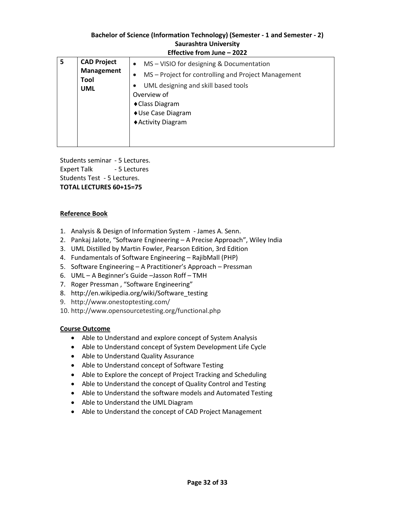| 5 | <b>CAD Project</b><br><b>Management</b><br>Tool | • MS – VISIO for designing & Documentation<br>MS-Project for controlling and Project Management                   |
|---|-------------------------------------------------|-------------------------------------------------------------------------------------------------------------------|
|   | <b>UML</b>                                      | UML designing and skill based tools<br>Overview of<br>◆ Class Diagram<br>◆ Use Case Diagram<br>◆ Activity Diagram |
|   |                                                 |                                                                                                                   |

Students seminar - 5 Lectures. Expert Talk - 5 Lectures Students Test - 5 Lectures. **TOTAL LECTURES 60+15=75**

#### **Reference Book**

- 1. Analysis & Design of Information System James A. Senn.
- 2. Pankaj Jalote, "Software Engineering A Precise Approach", Wiley India
- 3. UML Distilled by Martin Fowler, Pearson Edition, 3rd Edition
- 4. Fundamentals of Software Engineering RajibMall (PHP)
- 5. Software Engineering A Practitioner's Approach Pressman
- 6. UML A Beginner's Guide –Jasson Roff TMH
- 7. Roger Pressman , "Software Engineering"
- 8. http://en.wikipedia.org/wiki/Software\_testing
- 9. http://www.onestoptesting.com/
- 10. http://www.opensourcetesting.org/functional.php

#### **Course Outcome**

- Able to Understand and explore concept of System Analysis
- Able to Understand concept of System Development Life Cycle
- Able to Understand Quality Assurance
- Able to Understand concept of Software Testing
- Able to Explore the concept of Project Tracking and Scheduling
- Able to Understand the concept of Quality Control and Testing
- Able to Understand the software models and Automated Testing
- Able to Understand the UML Diagram
- Able to Understand the concept of CAD Project Management